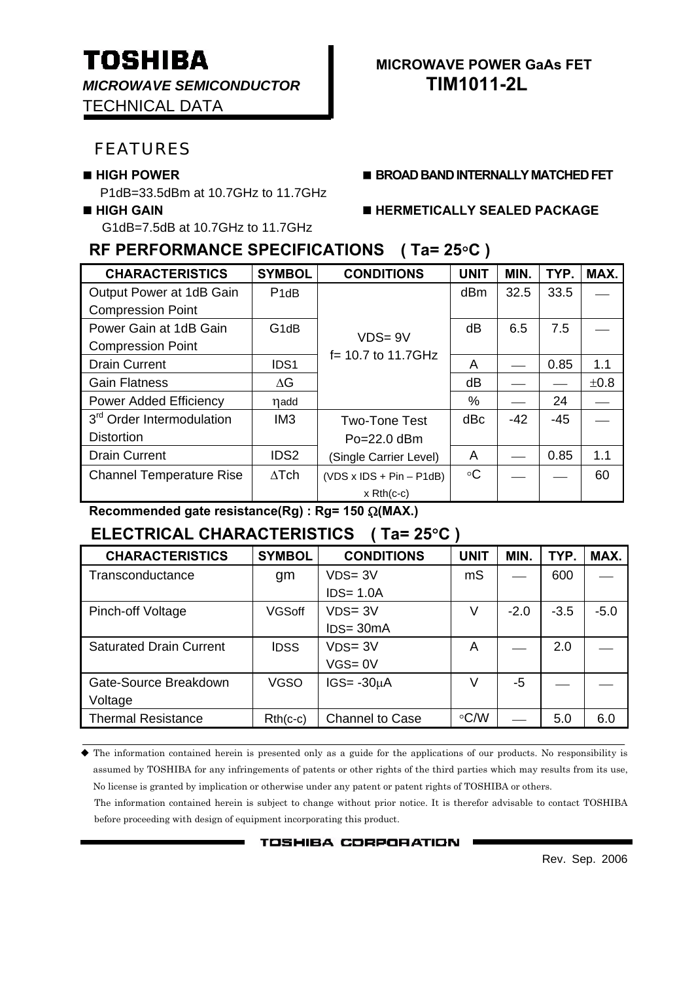*MICROWAVE SEMICONDUCTOR* **TIM1011-2L** TECHNICAL DATA

### FEATURES

P1dB=33.5dBm at 10.7GHz to 11.7GHz

G1dB=7.5dB at 10.7GHz to 11.7GHz

## **RF PERFORMANCE SPECIFICATIONS ( Ta= 25**°**C )**

| <b>CHARACTERISTICS</b>                | <b>SYMBOL</b>                 | <b>CONDITIONS</b>          | <b>UNIT</b>     | MIN.  | TYP.  | MAX. |
|---------------------------------------|-------------------------------|----------------------------|-----------------|-------|-------|------|
| Output Power at 1dB Gain              | P <sub>1</sub> d <sub>B</sub> |                            | dB <sub>m</sub> | 32.5  | 33.5  |      |
| <b>Compression Point</b>              |                               |                            |                 |       |       |      |
| Power Gain at 1dB Gain                | G <sub>1</sub> dB             | $VDS = 9V$                 | dB              | 6.5   | 7.5   |      |
| <b>Compression Point</b>              |                               | $f = 10.7$ to 11.7GHz      |                 |       |       |      |
| <b>Drain Current</b>                  | IDS <sub>1</sub>              |                            | A               |       | 0.85  | 1.1  |
| <b>Gain Flatness</b>                  | ΔG                            |                            | dB              |       |       | ±0.8 |
| <b>Power Added Efficiency</b>         | ηadd                          |                            | $\%$            |       | 24    |      |
| 3 <sup>rd</sup> Order Intermodulation | IM <sub>3</sub>               | <b>Two-Tone Test</b>       | dBc             | $-42$ | $-45$ |      |
| <b>Distortion</b>                     |                               | $Po = 22.0$ dBm            |                 |       |       |      |
| <b>Drain Current</b>                  | IDS <sub>2</sub>              | (Single Carrier Level)     | A               |       | 0.85  | 1.1  |
| <b>Channel Temperature Rise</b>       | $\Delta$ Tch                  | $(VDS x IDs + Pin - P1dB)$ | $\circ$ C       |       |       | 60   |
|                                       |                               | $x$ Rth(c-c)               |                 |       |       |      |

**Recommended gate resistance(Rg) : Rg= 150** Ω**(MAX.)**

# **ELECTRICAL CHARACTERISTICS ( Ta= 25**°**C )**

| <b>CHARACTERISTICS</b>         | <b>SYMBOL</b> | <b>CONDITIONS</b> | <b>UNIT</b> | MIN.   | TYP.   | MAX.   |
|--------------------------------|---------------|-------------------|-------------|--------|--------|--------|
| Transconductance               | gm            | $VDS = 3V$        | mS          |        | 600    |        |
|                                |               | $IDS = 1.0A$      |             |        |        |        |
| Pinch-off Voltage              | <b>VGSoff</b> | $VDS = 3V$        | V           | $-2.0$ | $-3.5$ | $-5.0$ |
|                                |               | $IDS = 30mA$      |             |        |        |        |
| <b>Saturated Drain Current</b> | <b>IDSS</b>   | $VDS = 3V$        | A           |        | 2.0    |        |
|                                |               | $VGS = 0V$        |             |        |        |        |
| Gate-Source Breakdown          | <b>VGSO</b>   | $IGS = -30µA$     | V           | -5     |        |        |
| Voltage                        |               |                   |             |        |        |        |
| <b>Thermal Resistance</b>      | $Rth(c-c)$    | Channel to Case   | $\circ$ C/W |        | 5.0    | 6.0    |

 The information contained herein is presented only as a guide for the applications of our products. No responsibility is assumed by TOSHIBA for any infringements of patents or other rights of the third parties which may results from its use, No license is granted by implication or otherwise under any patent or patent rights of TOSHIBA or others.

The information contained herein is subject to change without prior notice. It is therefor advisable to contact TOSHIBA before proceeding with design of equipment incorporating this product.

**TOSHIBA CORPORATION** 

Rev. Sep. 2006

# **TOSHIBA** MICROWAVE POWER GAAS FET

**HIGH POWER BROAD BAND INTERNALLY MATCHED FET**

#### **HIGH GAIN HERMETICALLY SEALED PACKAGE**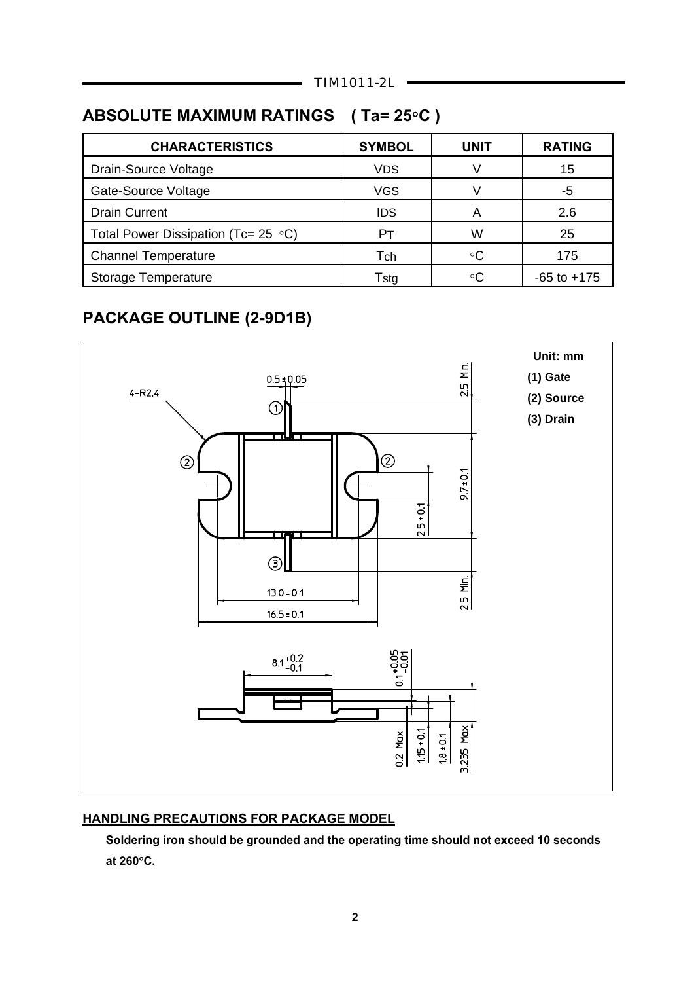# **ABSOLUTE MAXIMUM RATINGS ( Ta= 25**°**C )**

| <b>CHARACTERISTICS</b>                     | <b>SYMBOL</b> | UNIT | <b>RATING</b>   |
|--------------------------------------------|---------------|------|-----------------|
| Drain-Source Voltage                       | <b>VDS</b>    |      | 15              |
| Gate-Source Voltage                        | <b>VGS</b>    |      | -5              |
| <b>Drain Current</b>                       | IDS           |      | 2.6             |
| Total Power Dissipation (Tc= 25 $\circ$ C) | Pт            | W    | 25              |
| <b>Channel Temperature</b>                 | Tch           | ∘C   | 175             |
| <b>Storage Temperature</b>                 | Tstg          | ∘∩   | $-65$ to $+175$ |
|                                            |               |      |                 |

# **PACKAGE OUTLINE (2-9D1B)**



#### **HANDLING PRECAUTIONS FOR PACKAGE MODEL**

 **Soldering iron should be grounded and the operating time should not exceed 10 seconds at 260**°**C.**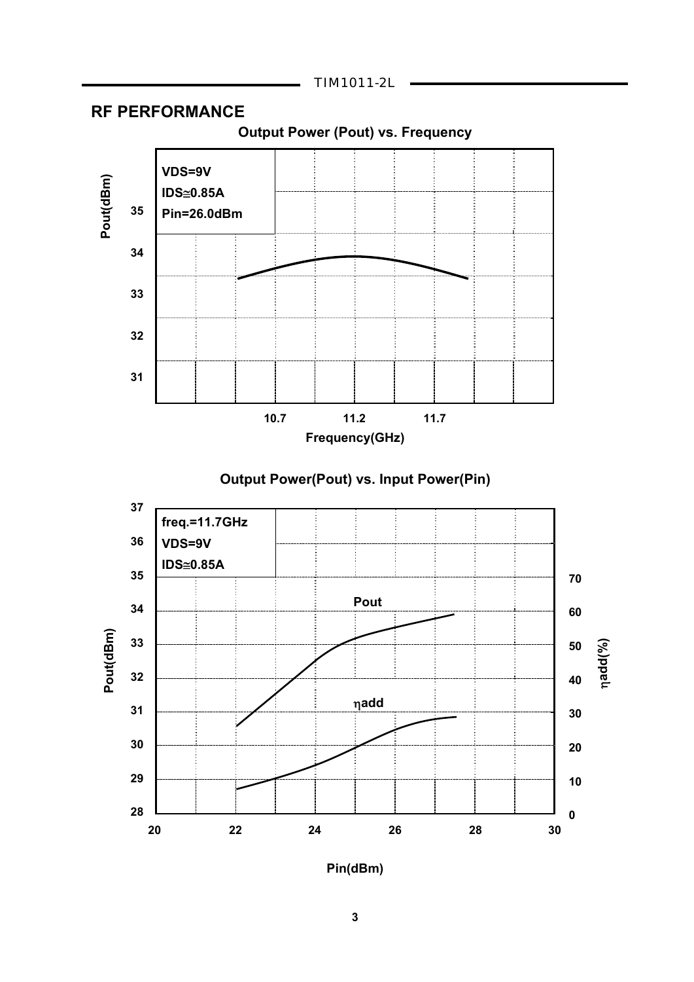

### **RF PERFORMANCE**







**Pin(dBm)**